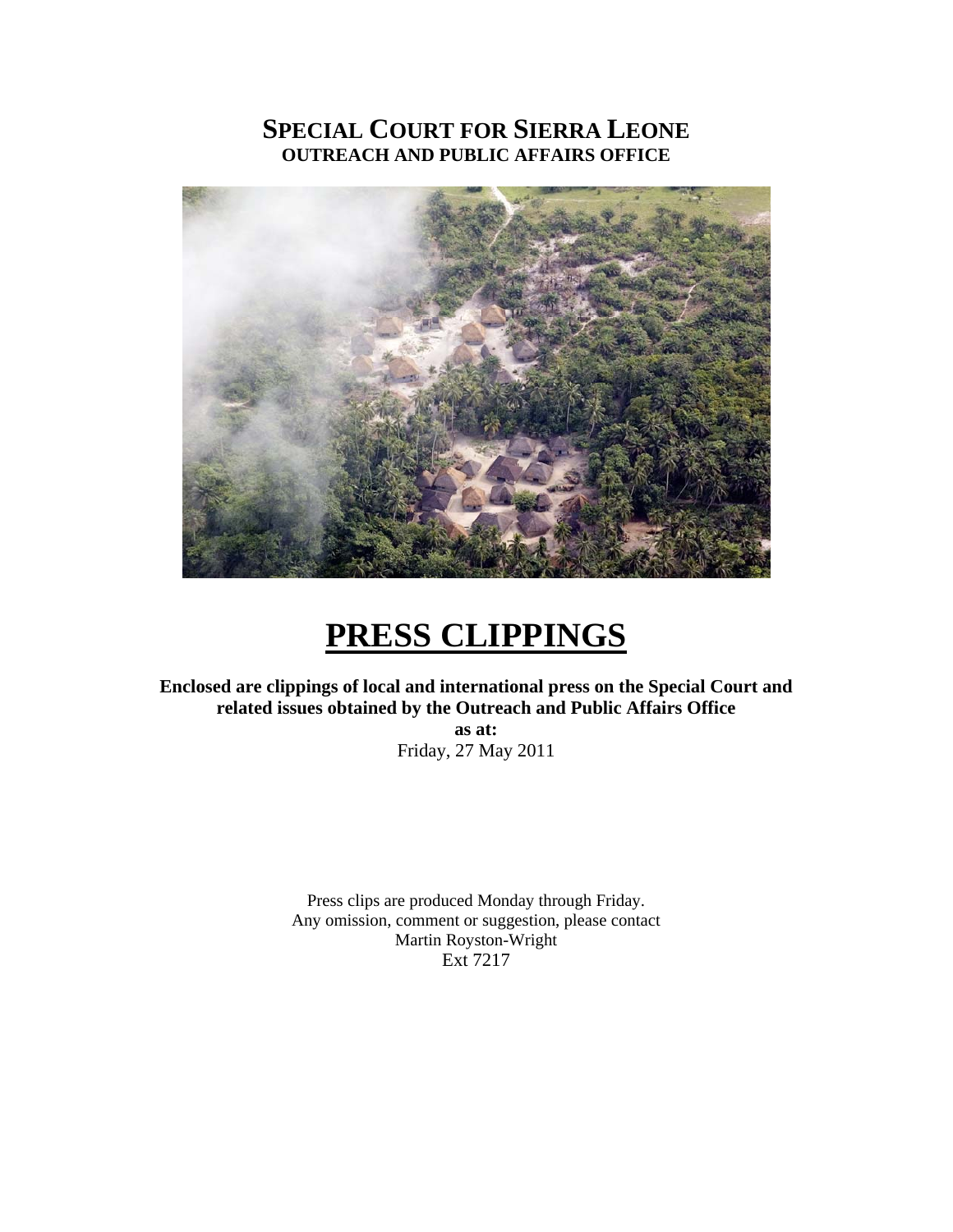### **SPECIAL COURT FOR SIERRA LEONE OUTREACH AND PUBLIC AFFAIRS OFFICE**



# **PRESS CLIPPINGS**

**Enclosed are clippings of local and international press on the Special Court and related issues obtained by the Outreach and Public Affairs Office** 

> **as at:**  Friday, 27 May 2011

Press clips are produced Monday through Friday. Any omission, comment or suggestion, please contact Martin Royston-Wright Ext 7217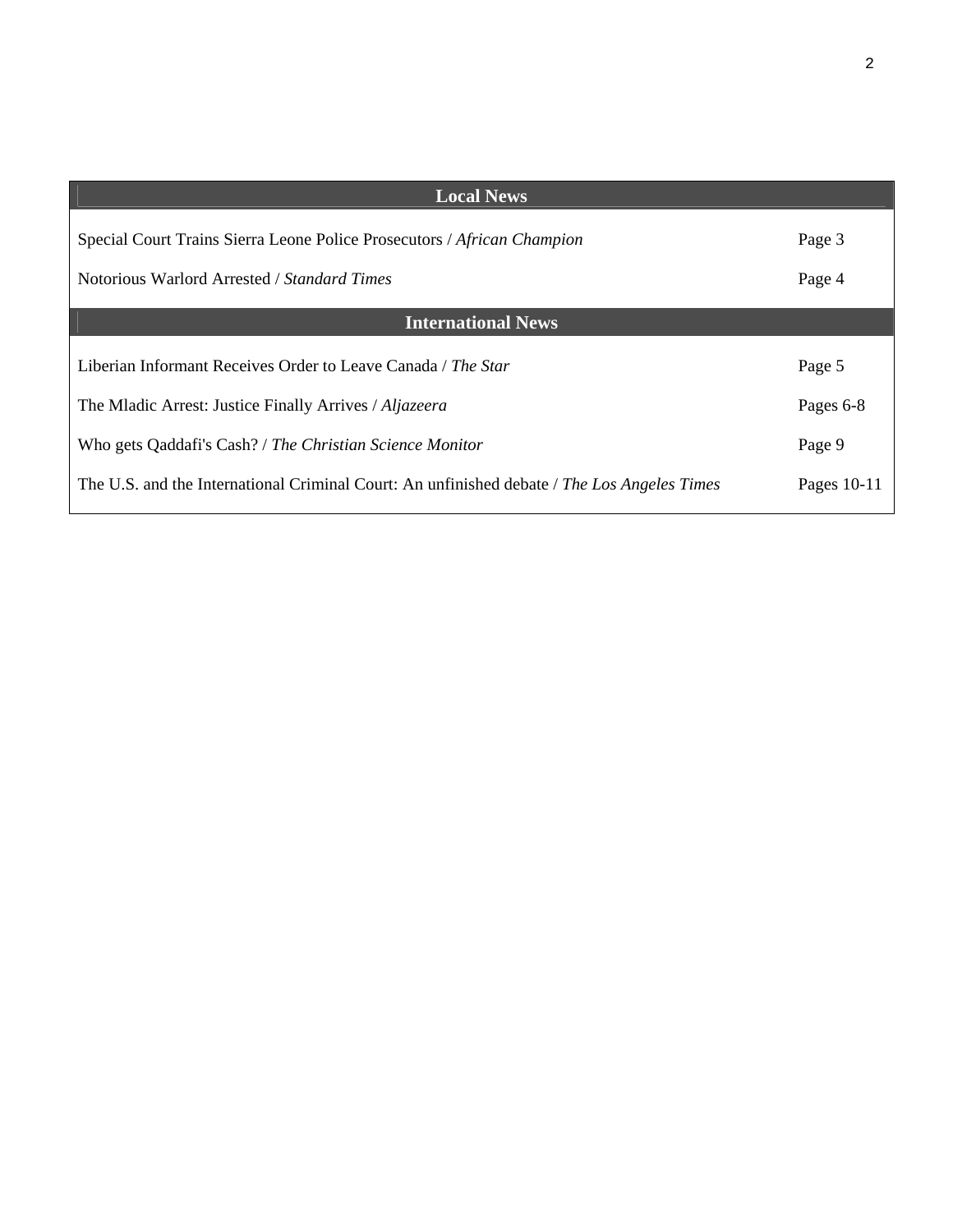| <b>Local News</b>                                                                           |             |
|---------------------------------------------------------------------------------------------|-------------|
| Special Court Trains Sierra Leone Police Prosecutors / African Champion                     | Page 3      |
| Notorious Warlord Arrested / Standard Times                                                 | Page 4      |
| <b>International News</b>                                                                   |             |
| Liberian Informant Receives Order to Leave Canada / The Star                                | Page 5      |
| The Mladic Arrest: Justice Finally Arrives / Aljazeera                                      | Pages 6-8   |
| Who gets Qaddafi's Cash? / The Christian Science Monitor                                    | Page 9      |
| The U.S. and the International Criminal Court: An unfinished debate / The Los Angeles Times | Pages 10-11 |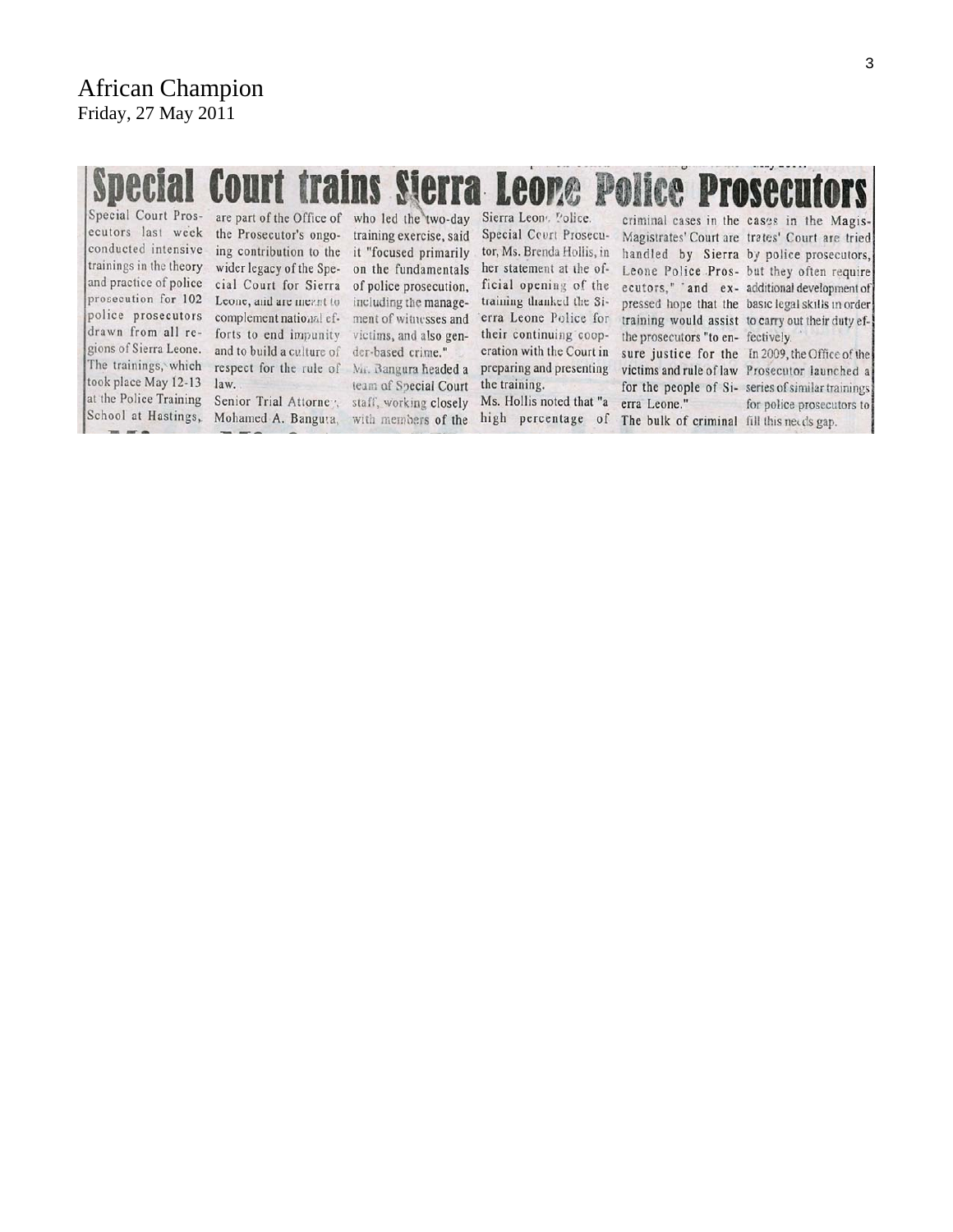## **Court trains Sierra Leone Police** Special Court Pros-

ecutors last week conducted intensive trainings in the theory and practice of police prosecution for 102 police prosecutors drawn from all regions of Sierra Leone. The trainings, which took place May 12-13 at the Police Training School at Hastings,

are part of the Office of who led the two-day the Prosecutor's ongo- training exercise, said ing contribution to the it "focused primarily wider legacy of the Spe- on the fundamentals cial Court for Sierra of police prosecution, Leone, and are meant to including the managecomplement national ef- ment of witnesses and forts to end impunity and to build a culture of der-based crime." respect for the rule of Mir. Bangura headed a law.

Mohamed A. Banguta, with members of the

victims, and also gen-

team of Special Court Senior Trial Attorney, staff, working closely Sierra Leon / "olice. Special Court Prosecutor, Ms. Brenda Hollis, in her statement at the official opening of the training thanked the Sierra Leone Police for their continuing cooperation with the Court in preparing and presenting the training.

Ms. Hollis noted that "a high percentage of

criminal cases in the cases in the Magis Magistrates' Court are trates' Court are tried handled by Sierra by police prosecutors, Leone Police Pros- but they often require ecutors," 'and ex- additional development of pressed hope that the basic legal skills in order training would assist to carry out their duty efthe prosecutors "to en-fectively. sure justice for the In 2009, the Office of the victims and rule of law Prosecutor launched a for the people of Si- series of similar trainings erra Leone." The bulk of criminal fill this needs gap.

for police prosecutors to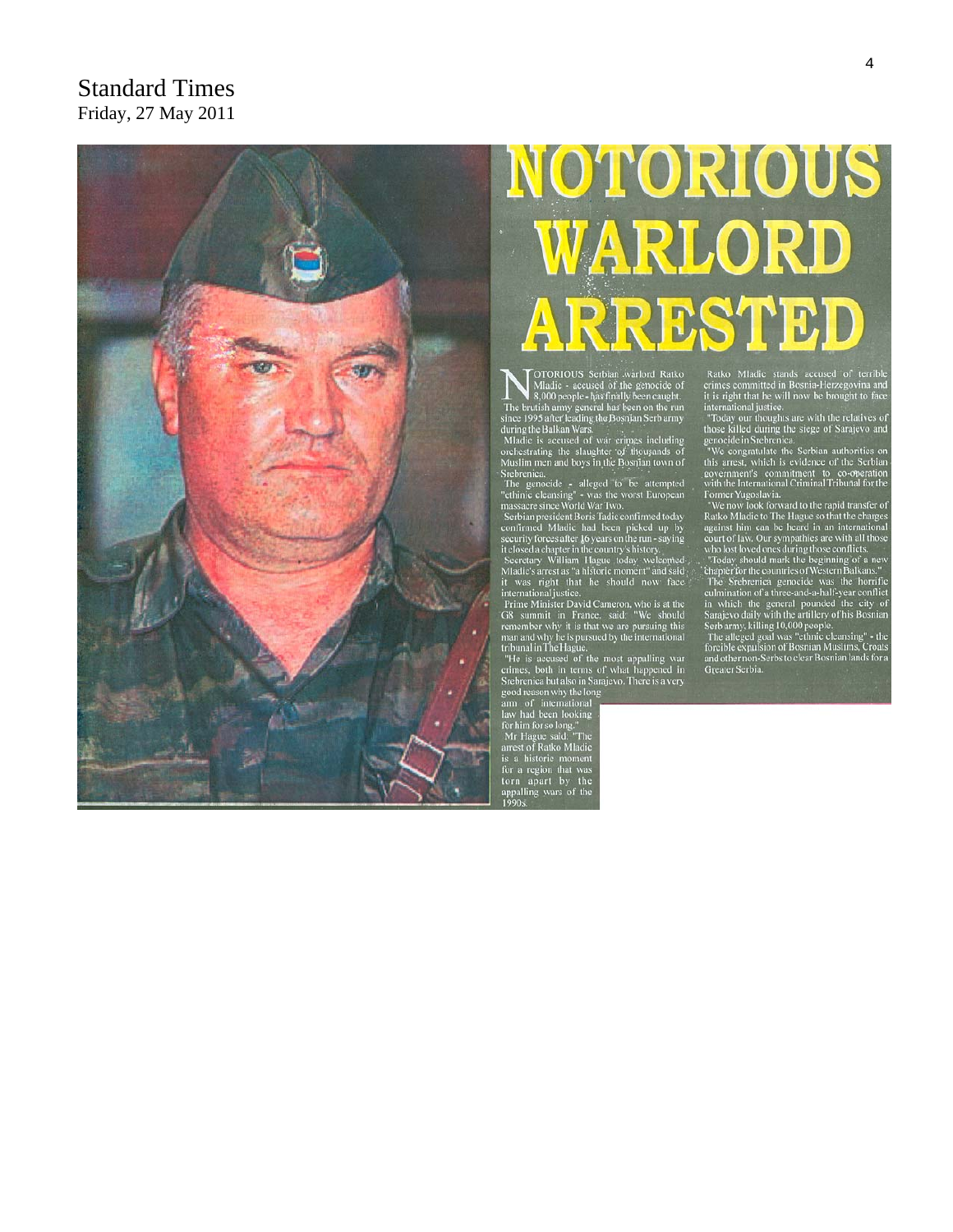#### **Standard Times** Friday, 27 May 2011



# NOTORIOUS WARLORD ARRESTE

Morto Miadic - accused of the genocide of<br>The brutish army general warlord Ratko<br>The brutish army general has been on the run<br>since 1995 after leading the Bosnian Serb army<br>during the Balkan Wars.<br>Madic is accused of war c

orchestrating the slaughter of thousands of Muslim men and boys in the Bosnian (own of Stebrenica.<br>
Stebrenica.<br>
The genocide - alleged to be attempted "ethinic cleansing" - was the worst European<br>
massace since World War

**Ratko Miladic stands accused of terrible**<br>crimes committed in Bosnia-Herzegovina and<br>it is right that he will now be brought to face<br>international justice.<br>"Today our thoughts are with the relatives of<br>those killed during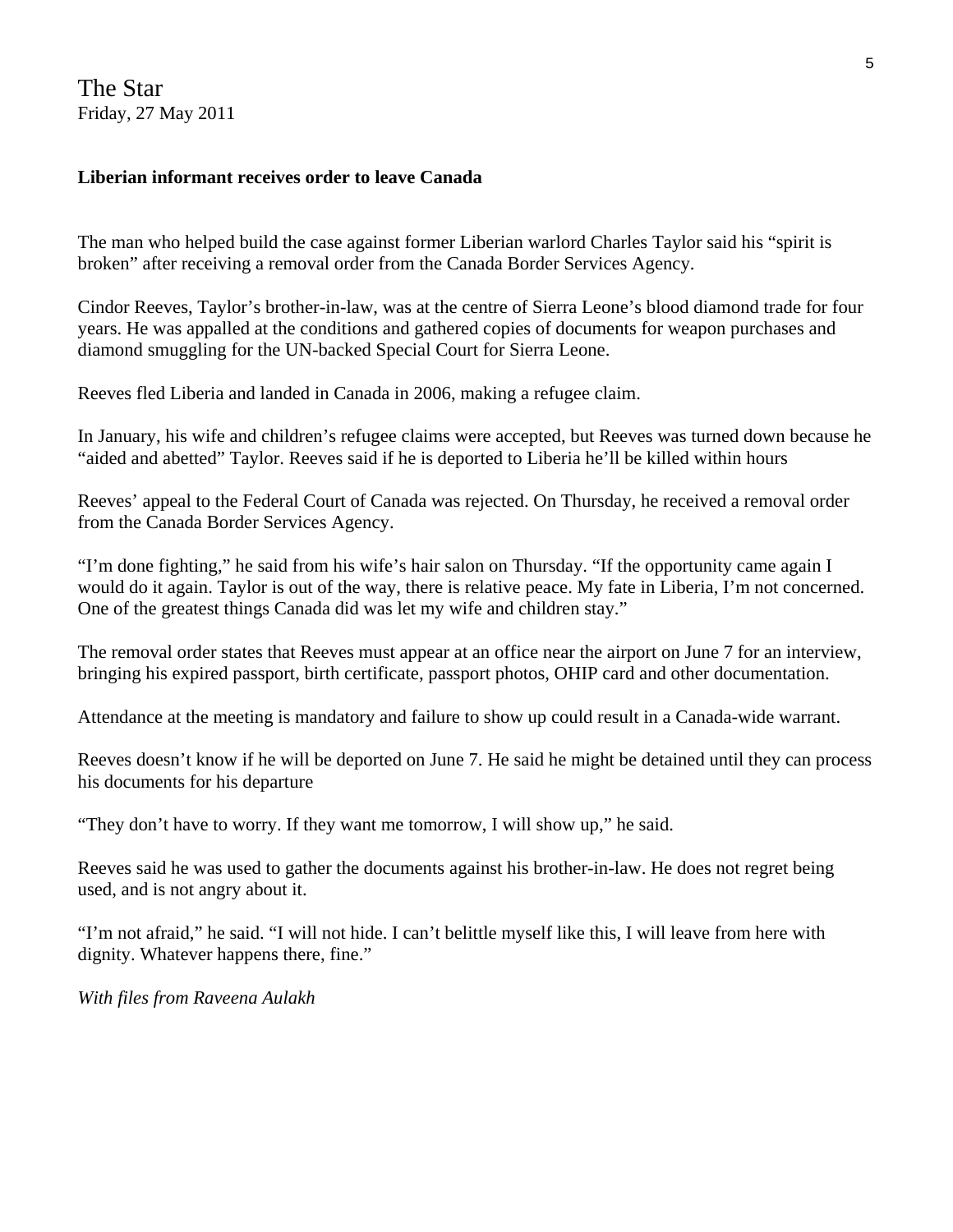The Star Friday, 27 May 2011

#### **Liberian informant receives order to leave Canada**

The man who helped build the case against former Liberian warlord Charles Taylor said his "spirit is broken" after receiving a removal order from the Canada Border Services Agency.

Cindor Reeves, Taylor's brother-in-law, was at the centre of Sierra Leone's blood diamond trade for four years. He was appalled at the conditions and gathered copies of documents for weapon purchases and diamond smuggling for the UN-backed Special Court for Sierra Leone.

Reeves fled Liberia and landed in Canada in 2006, making a refugee claim.

In January, his wife and children's refugee claims were accepted, but Reeves was turned down because he "aided and abetted" Taylor. Reeves said if he is deported to Liberia he'll be killed within hours

Reeves' appeal to the Federal Court of Canada was rejected. On Thursday, he received a removal order from the Canada Border Services Agency.

"I'm done fighting," he said from his wife's hair salon on Thursday. "If the opportunity came again I would do it again. Taylor is out of the way, there is relative peace. My fate in Liberia, I'm not concerned. One of the greatest things Canada did was let my wife and children stay."

The removal order states that Reeves must appear at an office near the airport on June 7 for an interview, bringing his expired passport, birth certificate, passport photos, OHIP card and other documentation.

Attendance at the meeting is mandatory and failure to show up could result in a Canada-wide warrant.

Reeves doesn't know if he will be deported on June 7. He said he might be detained until they can process his documents for his departure

"They don't have to worry. If they want me tomorrow, I will show up," he said.

Reeves said he was used to gather the documents against his brother-in-law. He does not regret being used, and is not angry about it.

"I'm not afraid," he said. "I will not hide. I can't belittle myself like this, I will leave from here with dignity. Whatever happens there, fine."

*With files from Raveena Aulakh*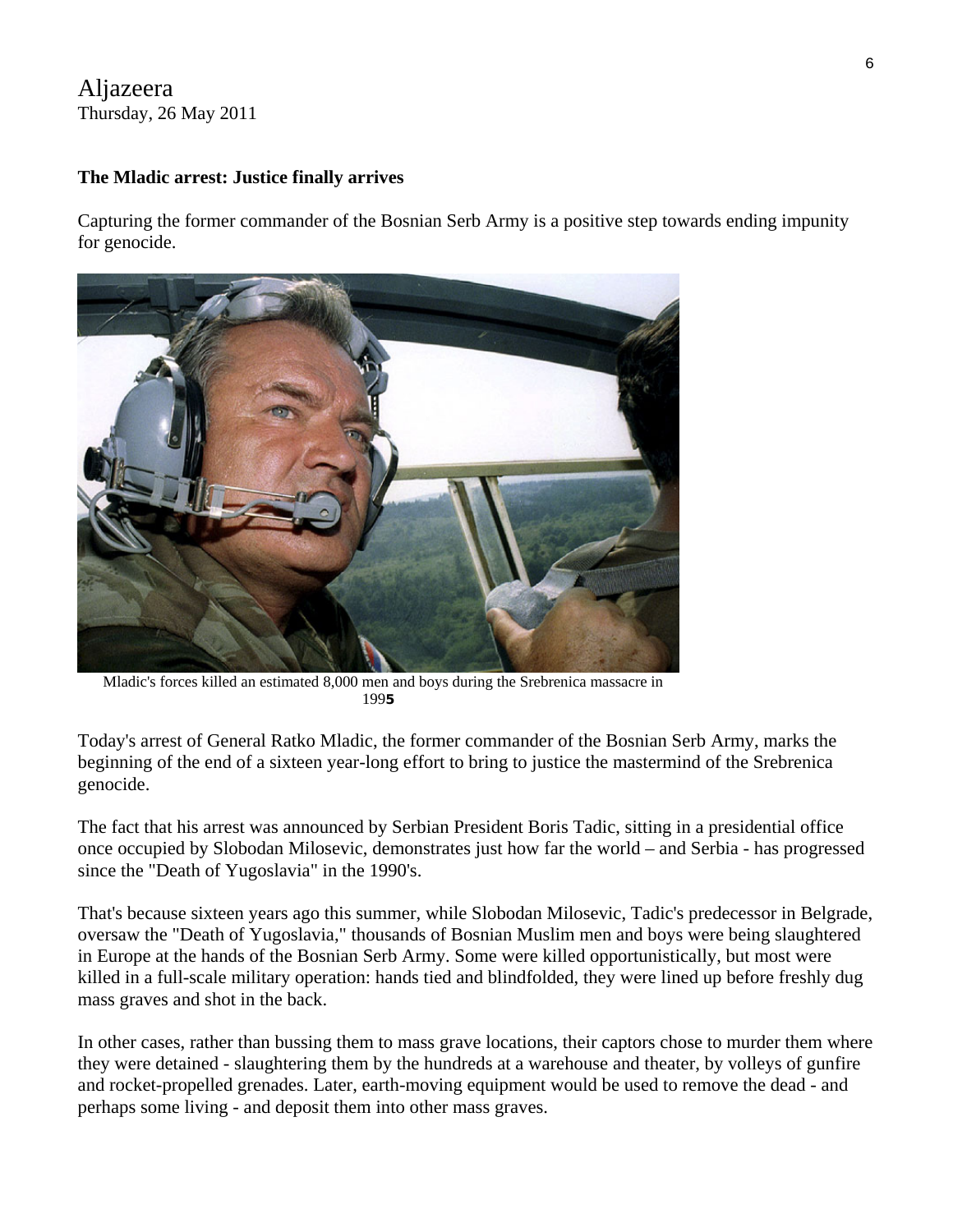#### Aljazeera Thursday, 26 May 2011

#### **The Mladic arrest: Justice finally arrives**

Capturing the former commander of the Bosnian Serb Army is a positive step towards ending impunity for genocide.



Mladic's forces killed an estimated 8,000 men and boys during the Srebrenica massacre in 199**5** 

Today's arrest of General Ratko Mladic, the former commander of the Bosnian Serb Army, marks the beginning of the end of a sixteen year-long effort to bring to justice the mastermind of the Srebrenica genocide.

The fact that his arrest was announced by Serbian President Boris Tadic, sitting in a presidential office once occupied by Slobodan Milosevic, demonstrates just how far the world – and Serbia - has progressed since the "Death of Yugoslavia" in the 1990's.

That's because sixteen years ago this summer, while Slobodan Milosevic, Tadic's predecessor in Belgrade, oversaw the "Death of Yugoslavia," thousands of Bosnian Muslim men and boys were being slaughtered in Europe at the hands of the Bosnian Serb Army. Some were killed opportunistically, but most were killed in a full-scale military operation: hands tied and blindfolded, they were lined up before freshly dug mass graves and shot in the back.

In other cases, rather than bussing them to mass grave locations, their captors chose to murder them where they were detained - slaughtering them by the hundreds at a warehouse and theater, by volleys of gunfire and rocket-propelled grenades. Later, earth-moving equipment would be used to remove the dead - and perhaps some living - and deposit them into other mass graves.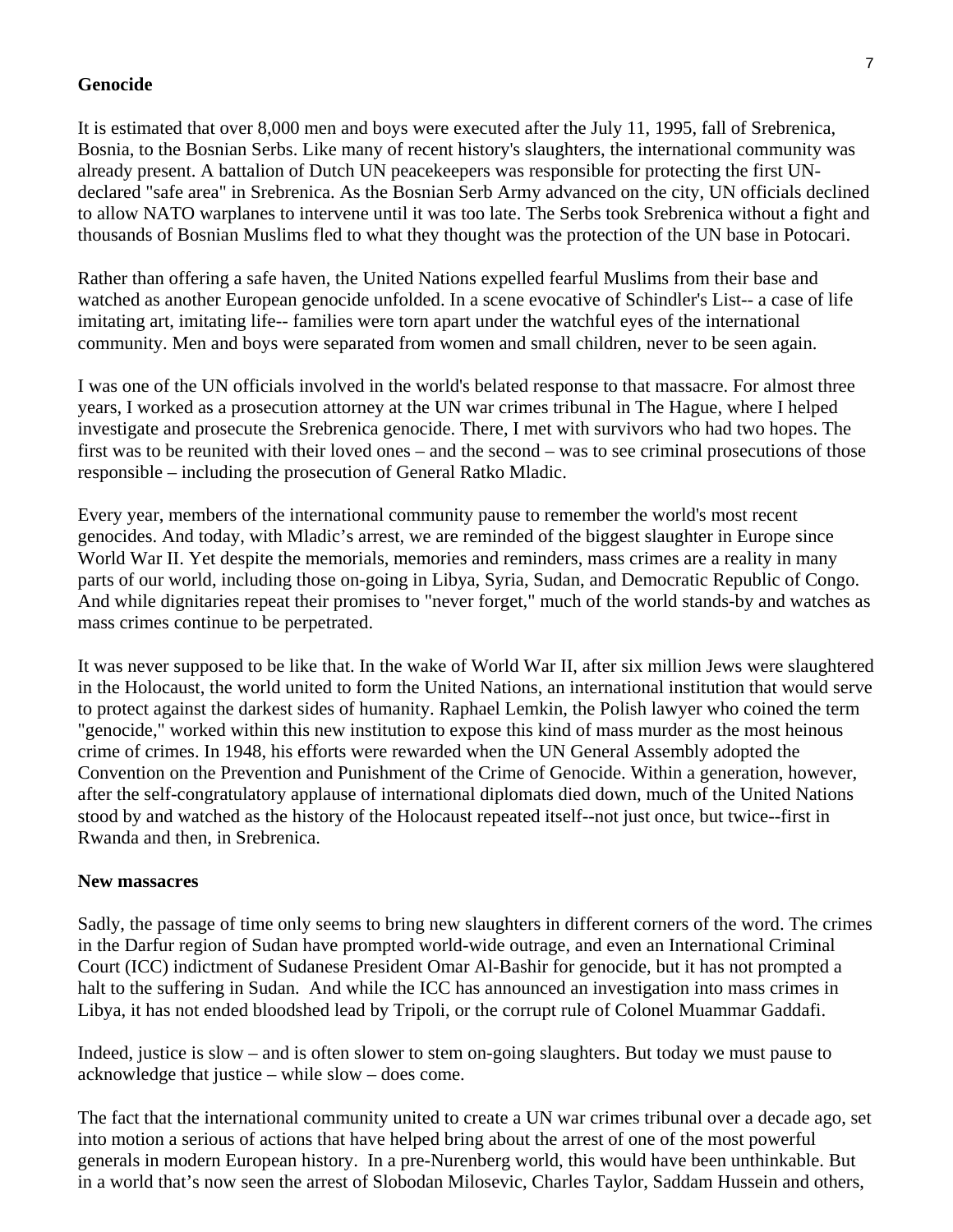#### **Genocide**

It is estimated that over 8,000 men and boys were executed after the July 11, 1995, fall of Srebrenica, Bosnia, to the Bosnian Serbs. Like many of recent history's slaughters, the international community was already present. A battalion of Dutch UN peacekeepers was responsible for protecting the first UNdeclared "safe area" in Srebrenica. As the Bosnian Serb Army advanced on the city, UN officials declined to allow NATO warplanes to intervene until it was too late. The Serbs took Srebrenica without a fight and thousands of Bosnian Muslims fled to what they thought was the protection of the UN base in Potocari.

Rather than offering a safe haven, the United Nations expelled fearful Muslims from their base and watched as another European genocide unfolded. In a scene evocative of Schindler's List-- a case of life imitating art, imitating life-- families were torn apart under the watchful eyes of the international community. Men and boys were separated from women and small children, never to be seen again.

I was one of the UN officials involved in the world's belated response to that massacre. For almost three years, I worked as a prosecution attorney at the UN war crimes tribunal in The Hague, where I helped investigate and prosecute the Srebrenica genocide. There, I met with survivors who had two hopes. The first was to be reunited with their loved ones – and the second – was to see criminal prosecutions of those responsible – including the prosecution of General Ratko Mladic.

Every year, members of the international community pause to remember the world's most recent genocides. And today, with Mladic's arrest, we are reminded of the biggest slaughter in Europe since World War II. Yet despite the memorials, memories and reminders, mass crimes are a reality in many parts of our world, including those on-going in Libya, Syria, Sudan, and Democratic Republic of Congo. And while dignitaries repeat their promises to "never forget," much of the world stands-by and watches as mass crimes continue to be perpetrated.

It was never supposed to be like that. In the wake of World War II, after six million Jews were slaughtered in the Holocaust, the world united to form the United Nations, an international institution that would serve to protect against the darkest sides of humanity. Raphael Lemkin, the Polish lawyer who coined the term "genocide," worked within this new institution to expose this kind of mass murder as the most heinous crime of crimes. In 1948, his efforts were rewarded when the UN General Assembly adopted the Convention on the Prevention and Punishment of the Crime of Genocide. Within a generation, however, after the self-congratulatory applause of international diplomats died down, much of the United Nations stood by and watched as the history of the Holocaust repeated itself--not just once, but twice--first in Rwanda and then, in Srebrenica.

#### **New massacres**

Sadly, the passage of time only seems to bring new slaughters in different corners of the word. The crimes in the Darfur region of Sudan have prompted world-wide outrage, and even an International Criminal Court (ICC) indictment of Sudanese President Omar Al-Bashir for genocide, but it has not prompted a halt to the suffering in Sudan. And while the ICC has announced an investigation into mass crimes in Libya, it has not ended bloodshed lead by Tripoli, or the corrupt rule of Colonel Muammar Gaddafi.

Indeed, justice is slow – and is often slower to stem on-going slaughters. But today we must pause to acknowledge that justice – while slow – does come.

The fact that the international community united to create a UN war crimes tribunal over a decade ago, set into motion a serious of actions that have helped bring about the arrest of one of the most powerful generals in modern European history. In a pre-Nurenberg world, this would have been unthinkable. But in a world that's now seen the arrest of Slobodan Milosevic, Charles Taylor, Saddam Hussein and others,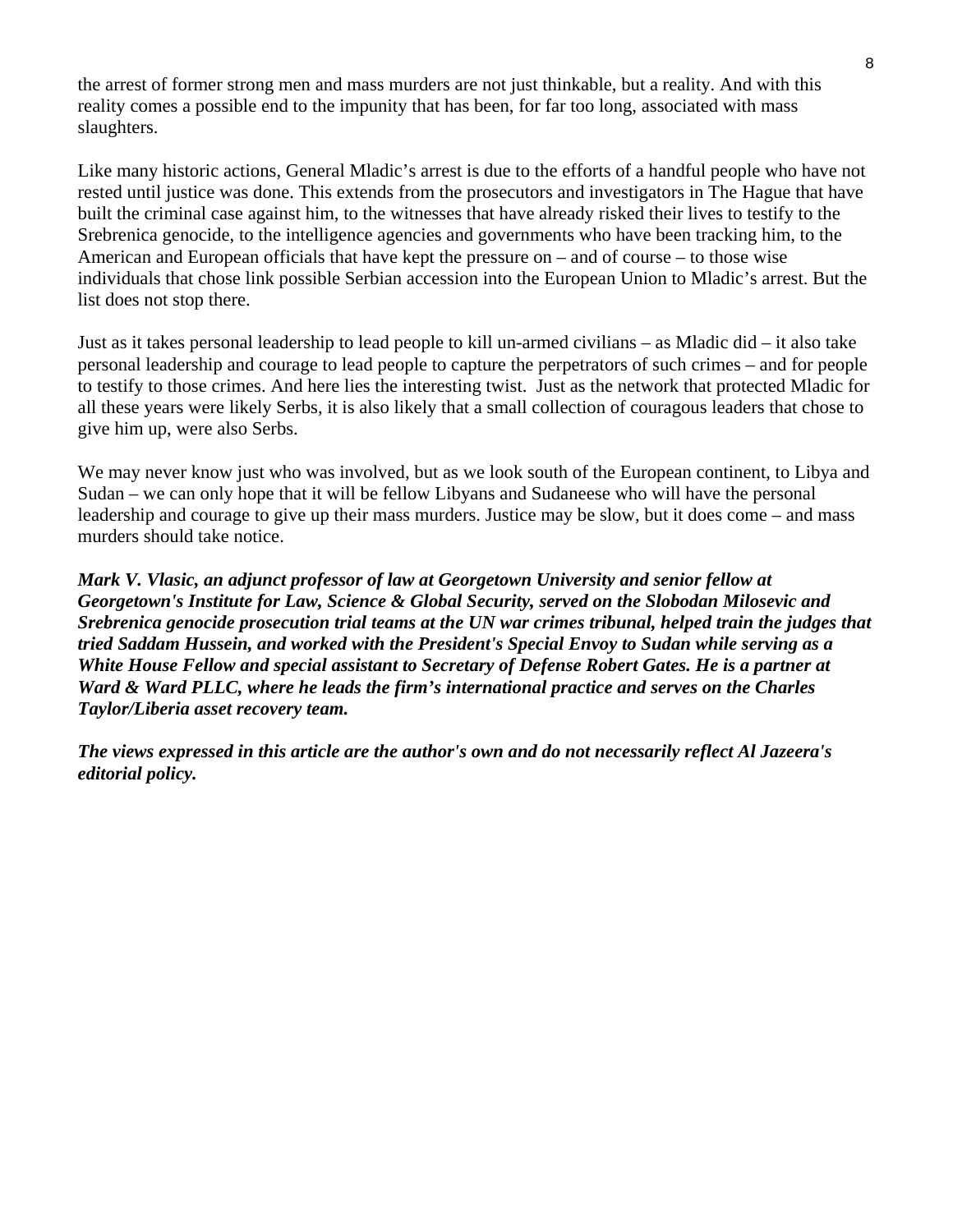the arrest of former strong men and mass murders are not just thinkable, but a reality. And with this reality comes a possible end to the impunity that has been, for far too long, associated with mass slaughters.

Like many historic actions, General Mladic's arrest is due to the efforts of a handful people who have not rested until justice was done. This extends from the prosecutors and investigators in The Hague that have built the criminal case against him, to the witnesses that have already risked their lives to testify to the Srebrenica genocide, to the intelligence agencies and governments who have been tracking him, to the American and European officials that have kept the pressure on – and of course – to those wise individuals that chose link possible Serbian accession into the European Union to Mladic's arrest. But the list does not stop there.

Just as it takes personal leadership to lead people to kill un-armed civilians – as Mladic did – it also take personal leadership and courage to lead people to capture the perpetrators of such crimes – and for people to testify to those crimes. And here lies the interesting twist. Just as the network that protected Mladic for all these years were likely Serbs, it is also likely that a small collection of couragous leaders that chose to give him up, were also Serbs.

We may never know just who was involved, but as we look south of the European continent, to Libya and Sudan – we can only hope that it will be fellow Libyans and Sudaneese who will have the personal leadership and courage to give up their mass murders. Justice may be slow, but it does come – and mass murders should take notice.

*Mark V. Vlasic, an adjunct professor of law at Georgetown University and senior fellow at Georgetown's Institute for Law, Science & Global Security, served on the Slobodan Milosevic and Srebrenica genocide prosecution trial teams at the UN war crimes tribunal, helped train the judges that tried Saddam Hussein, and worked with the President's Special Envoy to Sudan while serving as a White House Fellow and special assistant to Secretary of Defense Robert Gates. He is a partner at Ward & Ward PLLC, where he leads the firm's international practice and serves on the Charles Taylor/Liberia asset recovery team.*

*The views expressed in this article are the author's own and do not necessarily reflect Al Jazeera's editorial policy.*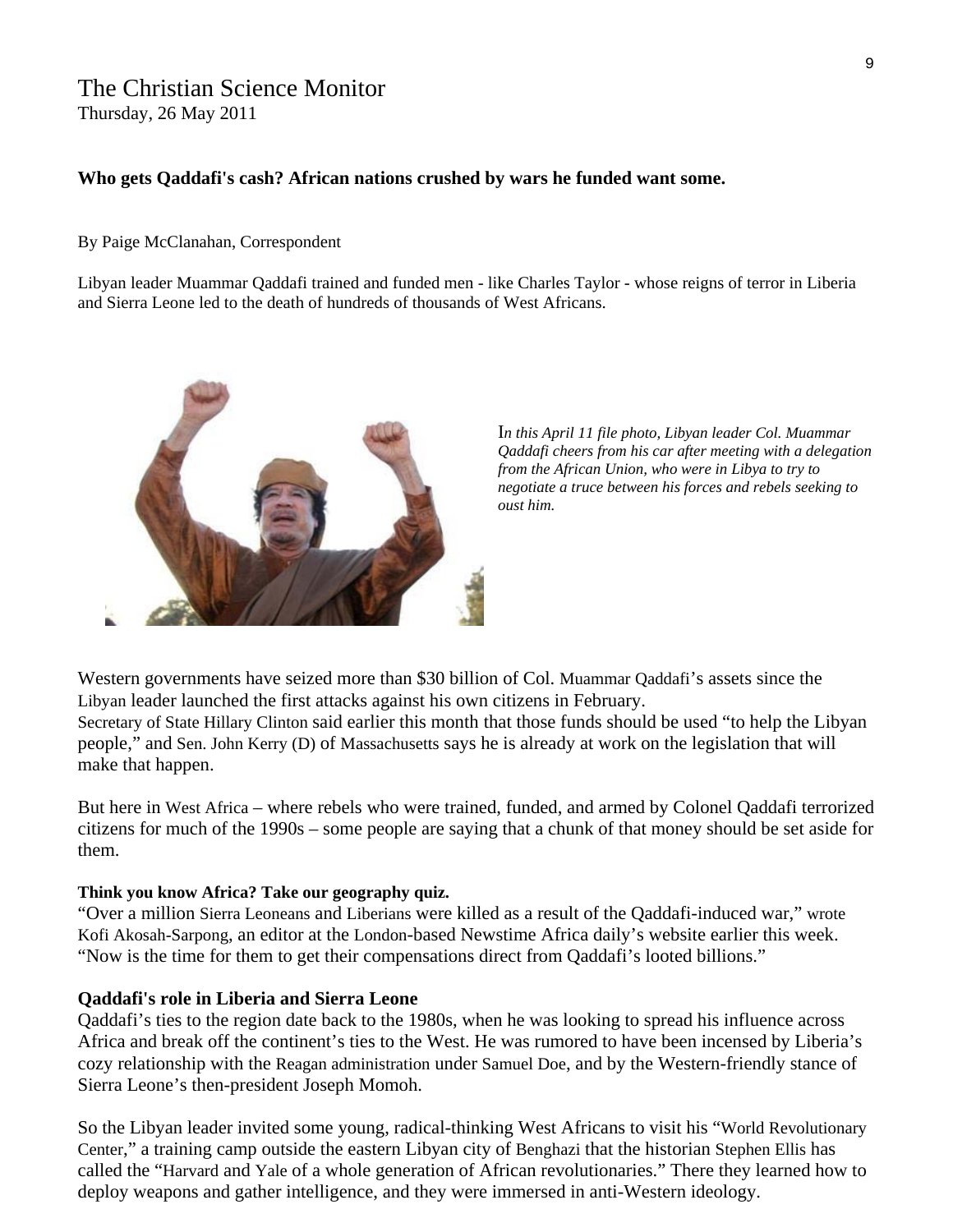#### The Christian Science Monitor Thursday, 26 May 2011

#### **Who gets Qaddafi's cash? African nations crushed by wars he funded want some.**

#### By [Paige McClanahan,](http://www.csmonitor.com/About/Contact-Us-Feedback) Correspondent

Libyan leader Muammar Qaddafi trained and funded men - like Charles Taylor - whose reigns of terror in Liberia and Sierra Leone led to the death of hundreds of thousands of West Africans.



I*n this April 11 file photo, Libyan leader Col. Muammar Qaddafi cheers from his car after meeting with a delegation from the African Union, who were in Libya to try to negotiate a truce between his forces and rebels seeking to oust him.* 

Western governments have seized more than \$30 billion of Col. [Muammar Qaddafi'](http://www.csmonitor.com/tags/topic/Moammar+Gadhafi)s assets since the [Libyan](http://www.csmonitor.com/tags/topic/Libya) leader launched the first attacks against his own citizens in February. [Secretary of State Hillary Clinton](http://www.csmonitor.com/tags/topic/Hillary+Clinton) said earlier this month that those funds should be used "to help the Libyan people," and [Sen. John Kerry \(D\)](http://www.csmonitor.com/tags/topic/John+Kerry) of [Massachusetts](http://www.csmonitor.com/tags/topic/Massachusetts) says he is already at work on the legislation that will make that happen.

But here in [West Africa](http://www.csmonitor.com/tags/topic/West+Africa) – where rebels who were trained, funded, and armed by Colonel Qaddafi terrorized citizens for much of the 1990s – some people are saying that a chunk of that money should be set aside for them.

#### **[Think you know Africa? Take our geography quiz.](http://www.csmonitor.com/World/Africa/2011/0127/Think-you-know-Africa-Take-our-geography-quiz/Question-1)**

"Over a million [Sierra Leoneans](http://www.csmonitor.com/tags/topic/Sierra+Leone) and [Liberians](http://www.csmonitor.com/tags/topic/Liberia) were killed as a result of the Qaddafi-induced war," [wrote](http://www.newstimeafrica.com/archives/20225)  [Kofi Akosah-Sarpong,](http://www.newstimeafrica.com/archives/20225) an editor at the [London-](http://www.csmonitor.com/tags/topic/London+%28England%29)based Newstime Africa daily's website earlier this week. "Now is the time for them to get their compensations direct from Qaddafi's looted billions."

#### **Qaddafi's role in Liberia and Sierra Leone**

Qaddafi's ties to the region date back to the 1980s, when he was looking to spread his influence across Africa and break off the continent's ties to the West. He was rumored to have been incensed by Liberia's cozy relationship with the [Reagan administration](http://www.csmonitor.com/tags/topic/Ronald+Reagan) under [Samuel Doe,](http://www.csmonitor.com/tags/topic/Samuel+Doe) and by the Western-friendly stance of Sierra Leone's then-president Joseph Momoh.

So the Libyan leader invited some young, radical-thinking West Africans to visit his ["World Revolutionary](http://www.csmonitor.com/tags/topic/World+Revolutionary+Center)  [Center](http://www.csmonitor.com/tags/topic/World+Revolutionary+Center)," a training camp outside the eastern Libyan city of [Benghazi](http://www.csmonitor.com/tags/topic/Benghazi) that the historian [Stephen Ellis](http://www.csmonitor.com/tags/topic/Stephen+Ellis) has called the "[Harvard](http://www.csmonitor.com/tags/topic/Harvard+University) and [Yale](http://www.csmonitor.com/tags/topic/Yale+University) of a whole generation of African revolutionaries." There they learned how to deploy weapons and gather intelligence, and they were immersed in anti-Western ideology.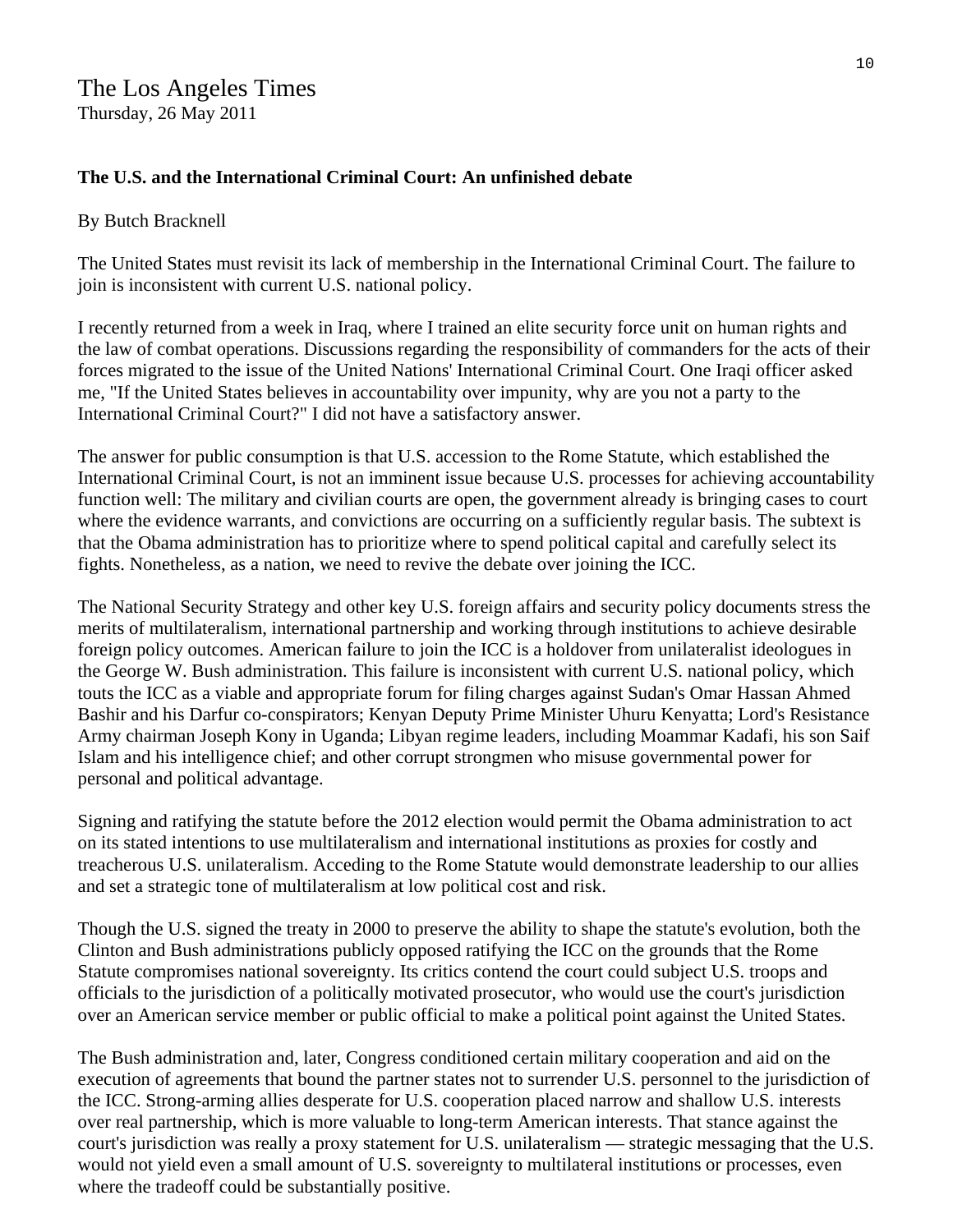#### The Los Angeles Times Thursday, 26 May 2011

#### **The U.S. and the International Criminal Court: An unfinished debate**

#### By Butch Bracknell

The United States must revisit its lack of membership in the International Criminal Court. The failure to join is inconsistent with current U.S. national policy.

I recently returned from a week in Iraq, where I trained an elite security force unit on human rights and the law of combat operations. Discussions regarding the responsibility of commanders for the acts of their forces migrated to the issue of the United Nations' International Criminal Court. One Iraqi officer asked me, "If the United States believes in accountability over impunity, why are you not a party to the International Criminal Court?" I did not have a satisfactory answer.

The answer for public consumption is that U.S. accession to the Rome Statute, which established the International Criminal Court, is not an imminent issue because U.S. processes for achieving accountability function well: The military and civilian courts are open, the government already is bringing cases to court where the evidence warrants, and convictions are occurring on a sufficiently regular basis. The subtext is that the Obama administration has to prioritize where to spend political capital and carefully select its fights. Nonetheless, as a nation, we need to revive the debate over joining the ICC.

The National Security Strategy and other key U.S. foreign affairs and security policy documents stress the merits of multilateralism, international partnership and working through institutions to achieve desirable foreign policy outcomes. American failure to join the ICC is a holdover from unilateralist ideologues in the George W. Bush administration. This failure is inconsistent with current U.S. national policy, which touts the ICC as a viable and appropriate forum for filing charges against Sudan's Omar Hassan Ahmed Bashir and his Darfur co-conspirators; Kenyan Deputy Prime Minister Uhuru Kenyatta; Lord's Resistance Army chairman Joseph Kony in Uganda; Libyan regime leaders, including Moammar Kadafi, his son Saif Islam and his intelligence chief; and other corrupt strongmen who misuse governmental power for personal and political advantage.

Signing and ratifying the statute before the 2012 election would permit the Obama administration to act on its stated intentions to use multilateralism and international institutions as proxies for costly and treacherous U.S. unilateralism. Acceding to the Rome Statute would demonstrate leadership to our allies and set a strategic tone of multilateralism at low political cost and risk.

Though the U.S. signed the treaty in 2000 to preserve the ability to shape the statute's evolution, both the Clinton and Bush administrations publicly opposed ratifying the ICC on the grounds that the Rome Statute compromises national sovereignty. Its critics contend the court could subject U.S. troops and officials to the jurisdiction of a politically motivated prosecutor, who would use the court's jurisdiction over an American service member or public official to make a political point against the United States.

The Bush administration and, later, Congress conditioned certain military cooperation and aid on the execution of agreements that bound the partner states not to surrender U.S. personnel to the jurisdiction of the ICC. Strong-arming allies desperate for U.S. cooperation placed narrow and shallow U.S. interests over real partnership, which is more valuable to long-term American interests. That stance against the court's jurisdiction was really a proxy statement for U.S. unilateralism — strategic messaging that the U.S. would not yield even a small amount of U.S. sovereignty to multilateral institutions or processes, even where the tradeoff could be substantially positive.